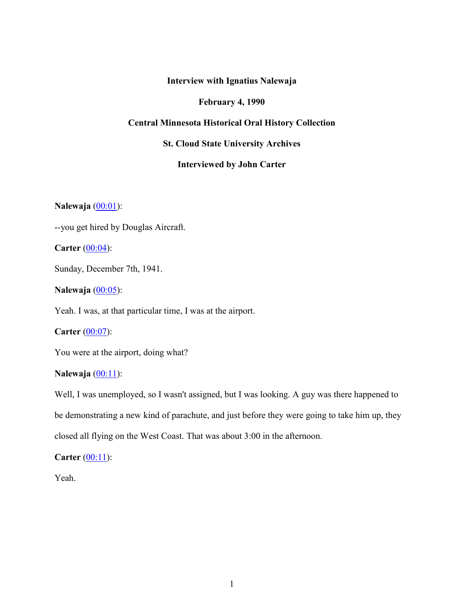# **Interview with Ignatius Nalewaja**

### **February 4, 1990**

### **Central Minnesota Historical Oral History Collection**

## **St. Cloud State University Archives**

# **Interviewed by John Carter**

**Nalewaja** (00:01):

--you get hired by Douglas Aircraft.

**Carter** (00:04):

Sunday, December 7th, 1941.

**Nalewaja** (00:05):

Yeah. I was, at that particular time, I was at the airport.

**Carter** (00:07):

You were at the airport, doing what?

# **Nalewaja** (00:11):

Well, I was unemployed, so I wasn't assigned, but I was looking. A guy was there happened to be demonstrating a new kind of parachute, and just before they were going to take him up, they closed all flying on the West Coast. That was about 3:00 in the afternoon.

**Carter** (00:11):

Yeah.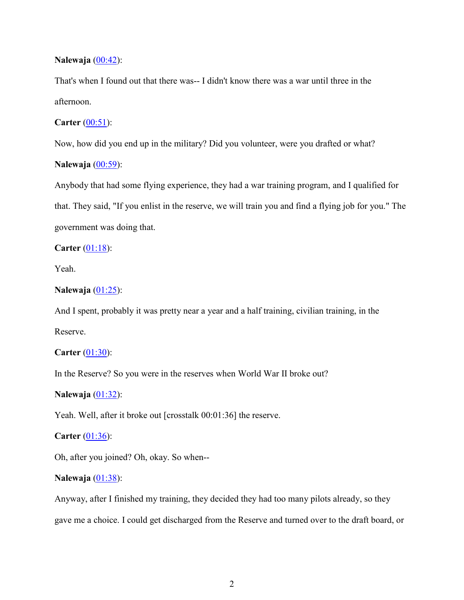#### **Nalewaja** (00:42):

That's when I found out that there was-- I didn't know there was a war until three in the afternoon.

## **Carter** (00:51):

Now, how did you end up in the military? Did you volunteer, were you drafted or what?

### **Nalewaja** (00:59):

Anybody that had some flying experience, they had a war training program, and I qualified for that. They said, "If you enlist in the reserve, we will train you and find a flying job for you." The government was doing that.

#### **Carter** (01:18):

Yeah.

### **Nalewaja** (01:25):

And I spent, probably it was pretty near a year and a half training, civilian training, in the Reserve.

### **Carter** (01:30):

In the Reserve? So you were in the reserves when World War II broke out?

#### **Nalewaja** (01:32):

Yeah. Well, after it broke out [crosstalk 00:01:36] the reserve.

### **Carter** (01:36):

Oh, after you joined? Oh, okay. So when--

### **Nalewaja** (01:38):

Anyway, after I finished my training, they decided they had too many pilots already, so they gave me a choice. I could get discharged from the Reserve and turned over to the draft board, or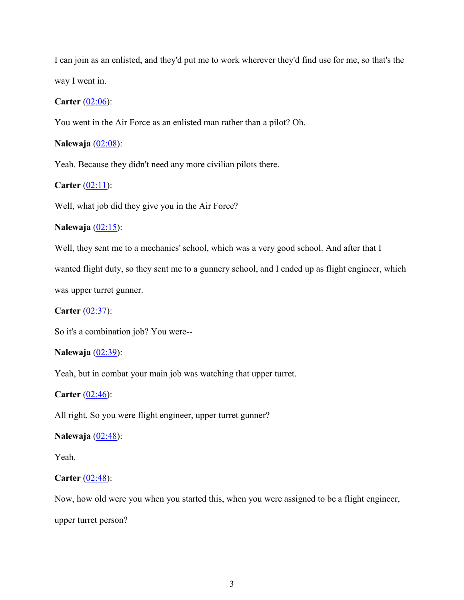I can join as an enlisted, and they'd put me to work wherever they'd find use for me, so that's the way I went in.

#### **Carter** (02:06):

You went in the Air Force as an enlisted man rather than a pilot? Oh.

#### **Nalewaja** (02:08):

Yeah. Because they didn't need any more civilian pilots there.

### **Carter** (02:11):

Well, what job did they give you in the Air Force?

### **Nalewaja** (02:15):

Well, they sent me to a mechanics' school, which was a very good school. And after that I

wanted flight duty, so they sent me to a gunnery school, and I ended up as flight engineer, which was upper turret gunner.

**Carter** (02:37):

So it's a combination job? You were--

### **Nalewaja** (02:39):

Yeah, but in combat your main job was watching that upper turret.

**Carter** (02:46):

All right. So you were flight engineer, upper turret gunner?

### **Nalewaja** (02:48):

Yeah.

#### **Carter** (02:48):

Now, how old were you when you started this, when you were assigned to be a flight engineer, upper turret person?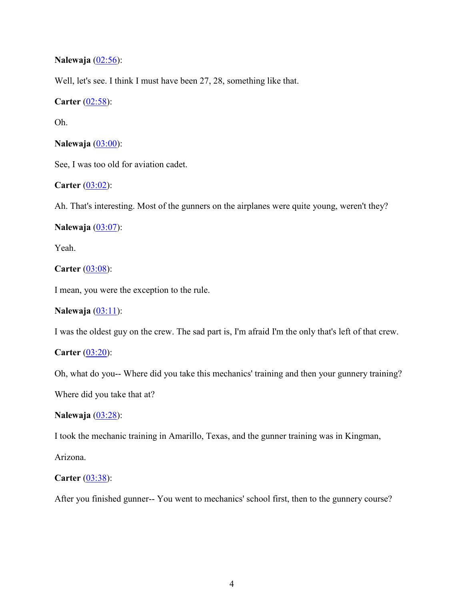**Nalewaja** (02:56):

Well, let's see. I think I must have been 27, 28, something like that.

**Carter** (02:58):

Oh.

**Nalewaja** (03:00):

See, I was too old for aviation cadet.

**Carter** (03:02):

Ah. That's interesting. Most of the gunners on the airplanes were quite young, weren't they?

**Nalewaja** (03:07):

Yeah.

**Carter** (03:08):

I mean, you were the exception to the rule.

**Nalewaja** (03:11):

I was the oldest guy on the crew. The sad part is, I'm afraid I'm the only that's left of that crew.

**Carter** (03:20):

Oh, what do you-- Where did you take this mechanics' training and then your gunnery training?

Where did you take that at?

**Nalewaja** (03:28):

I took the mechanic training in Amarillo, Texas, and the gunner training was in Kingman,

Arizona.

**Carter** (03:38):

After you finished gunner-- You went to mechanics' school first, then to the gunnery course?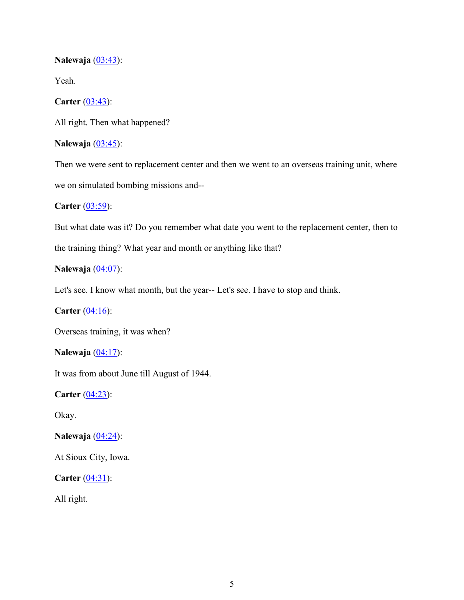### **Nalewaja** (03:43):

Yeah.

## **Carter** (03:43):

All right. Then what happened?

# **Nalewaja** (03:45):

Then we were sent to replacement center and then we went to an overseas training unit, where we on simulated bombing missions and--

**Carter** (03:59):

But what date was it? Do you remember what date you went to the replacement center, then to

the training thing? What year and month or anything like that?

## **Nalewaja** (04:07):

Let's see. I know what month, but the year-- Let's see. I have to stop and think.

**Carter** (04:16):

Overseas training, it was when?

**Nalewaja** (04:17):

It was from about June till August of 1944.

**Carter** (04:23):

Okay.

**Nalewaja** (04:24):

At Sioux City, Iowa.

**Carter** (04:31):

All right.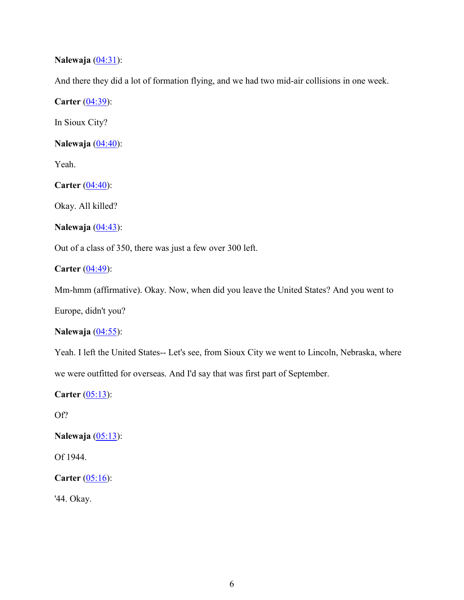# **Nalewaja** (04:31):

And there they did a lot of formation flying, and we had two mid-air collisions in one week.

**Carter** (04:39):

In Sioux City?

**Nalewaja** (04:40):

Yeah.

**Carter** (04:40):

Okay. All killed?

**Nalewaja** (04:43):

Out of a class of 350, there was just a few over 300 left.

**Carter** (04:49):

Mm-hmm (affirmative). Okay. Now, when did you leave the United States? And you went to

Europe, didn't you?

### **Nalewaja** (04:55):

Yeah. I left the United States-- Let's see, from Sioux City we went to Lincoln, Nebraska, where we were outfitted for overseas. And I'd say that was first part of September.

**Carter** (05:13):

Of?

**Nalewaja** (05:13):

Of 1944.

**Carter** (05:16):

'44. Okay.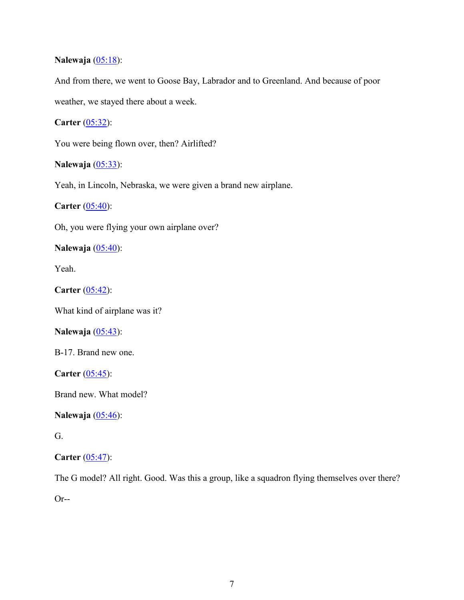# **Nalewaja** (05:18):

And from there, we went to Goose Bay, Labrador and to Greenland. And because of poor weather, we stayed there about a week.

**Carter** (05:32):

You were being flown over, then? Airlifted?

**Nalewaja** (05:33):

Yeah, in Lincoln, Nebraska, we were given a brand new airplane.

**Carter** (05:40):

Oh, you were flying your own airplane over?

**Nalewaja** (05:40):

Yeah.

**Carter** (05:42):

What kind of airplane was it?

**Nalewaja** (05:43):

B-17. Brand new one.

**Carter** (05:45):

Brand new. What model?

**Nalewaja** (05:46):

G.

**Carter** (05:47):

The G model? All right. Good. Was this a group, like a squadron flying themselves over there?

Or--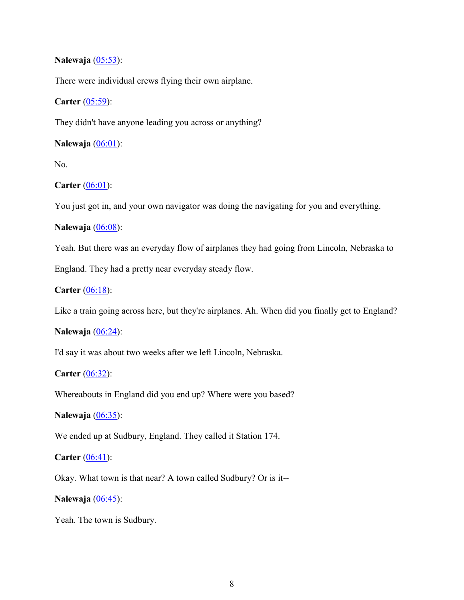### **Nalewaja** (05:53):

There were individual crews flying their own airplane.

### **Carter** (05:59):

They didn't have anyone leading you across or anything?

## **Nalewaja** (06:01):

No.

# **Carter** (06:01):

You just got in, and your own navigator was doing the navigating for you and everything.

### **Nalewaja** (06:08):

Yeah. But there was an everyday flow of airplanes they had going from Lincoln, Nebraska to

England. They had a pretty near everyday steady flow.

**Carter** (06:18):

Like a train going across here, but they're airplanes. Ah. When did you finally get to England?

### **Nalewaja** (06:24):

I'd say it was about two weeks after we left Lincoln, Nebraska.

# **Carter** (06:32):

Whereabouts in England did you end up? Where were you based?

### **Nalewaja** (06:35):

We ended up at Sudbury, England. They called it Station 174.

### **Carter** (06:41):

Okay. What town is that near? A town called Sudbury? Or is it--

# **Nalewaja** (06:45):

Yeah. The town is Sudbury.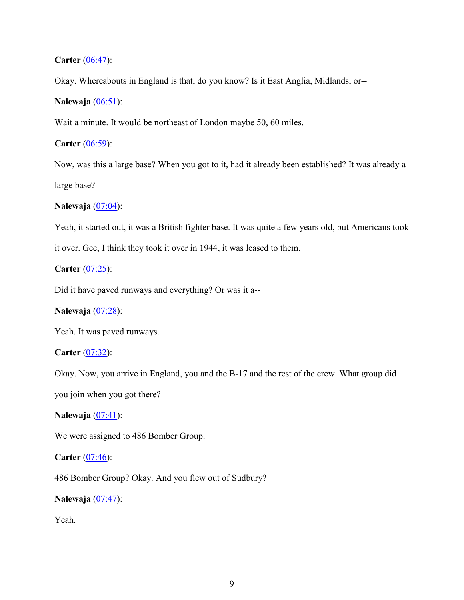# **Carter** (06:47):

Okay. Whereabouts in England is that, do you know? Is it East Anglia, Midlands, or--

### **Nalewaja** (06:51):

Wait a minute. It would be northeast of London maybe 50, 60 miles.

### **Carter** (06:59):

Now, was this a large base? When you got to it, had it already been established? It was already a large base?

## **Nalewaja** (07:04):

Yeah, it started out, it was a British fighter base. It was quite a few years old, but Americans took

it over. Gee, I think they took it over in 1944, it was leased to them.

### **Carter** (07:25):

Did it have paved runways and everything? Or was it a--

# **Nalewaja** (07:28):

Yeah. It was paved runways.

### **Carter** (07:32):

Okay. Now, you arrive in England, you and the B-17 and the rest of the crew. What group did

you join when you got there?

**Nalewaja** (07:41):

We were assigned to 486 Bomber Group.

### **Carter** (07:46):

486 Bomber Group? Okay. And you flew out of Sudbury?

**Nalewaja** (07:47):

Yeah.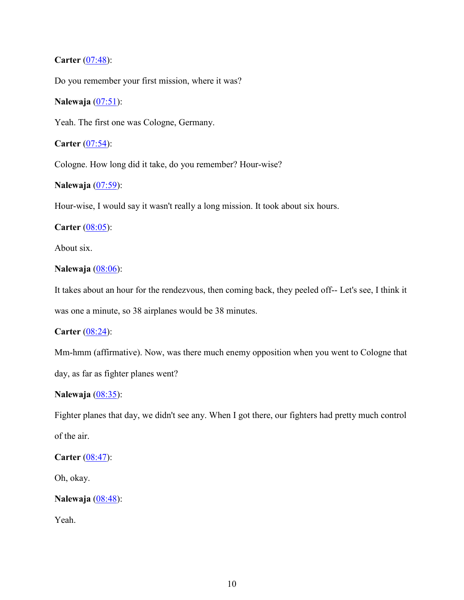# **Carter** (07:48):

Do you remember your first mission, where it was?

### **Nalewaja** (07:51):

Yeah. The first one was Cologne, Germany.

### **Carter** (07:54):

Cologne. How long did it take, do you remember? Hour-wise?

# **Nalewaja** (07:59):

Hour-wise, I would say it wasn't really a long mission. It took about six hours.

### **Carter** (08:05):

About six.

#### **Nalewaja** (08:06):

It takes about an hour for the rendezvous, then coming back, they peeled off-- Let's see, I think it was one a minute, so 38 airplanes would be 38 minutes.

### **Carter** (08:24):

Mm-hmm (affirmative). Now, was there much enemy opposition when you went to Cologne that day, as far as fighter planes went?

#### **Nalewaja** (08:35):

Fighter planes that day, we didn't see any. When I got there, our fighters had pretty much control of the air.

## **Carter** (08:47):

Oh, okay.

```
Nalewaja (08:48):
```
Yeah.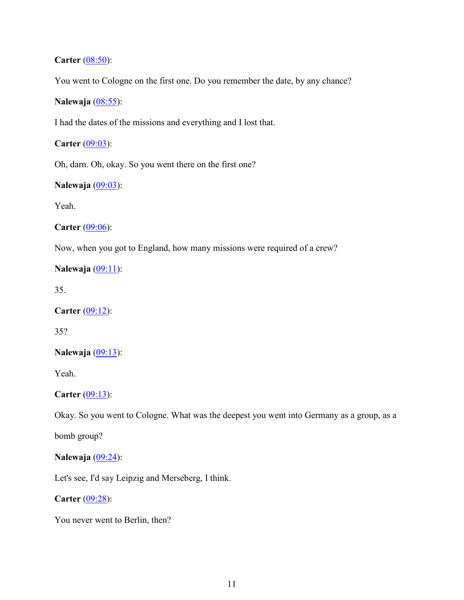## **Carter** (08:50):

You went to Cologne on the first one. Do you remember the date, by any chance?

# **Nalewaja** (08:55):

I had the dates of the missions and everything and I lost that.

# **Carter** (09:03):

Oh, darn. Oh, okay. So you went there on the first one?

# **Nalewaja** (09:03):

Yeah.

**Carter** (09:06):

Now, when you got to England, how many missions were required of a crew?

# **Nalewaja** (09:11):

35.

**Carter** (09:12):

35?

#### **Nalewaja** (09:13):

Yeah.

**Carter** (09:13):

Okay. So you went to Cologne. What was the deepest you went into Germany as a group, as a

bomb group?

### **Nalewaja** (09:24):

Let's see, I'd say Leipzig and Merseberg, I think.

**Carter** (09:28):

You never went to Berlin, then?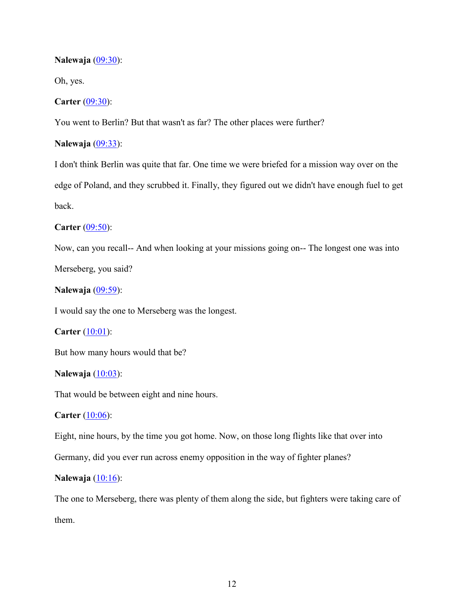### **Nalewaja** (09:30):

Oh, yes.

### **Carter** (09:30):

You went to Berlin? But that wasn't as far? The other places were further?

### **Nalewaja** (09:33):

I don't think Berlin was quite that far. One time we were briefed for a mission way over on the edge of Poland, and they scrubbed it. Finally, they figured out we didn't have enough fuel to get back.

### **Carter** (09:50):

Now, can you recall-- And when looking at your missions going on-- The longest one was into

Merseberg, you said?

**Nalewaja** (09:59):

I would say the one to Merseberg was the longest.

**Carter** (10:01):

But how many hours would that be?

### **Nalewaja** (10:03):

That would be between eight and nine hours.

**Carter** (10:06):

Eight, nine hours, by the time you got home. Now, on those long flights like that over into

Germany, did you ever run across enemy opposition in the way of fighter planes?

## **Nalewaja** (10:16):

The one to Merseberg, there was plenty of them along the side, but fighters were taking care of them.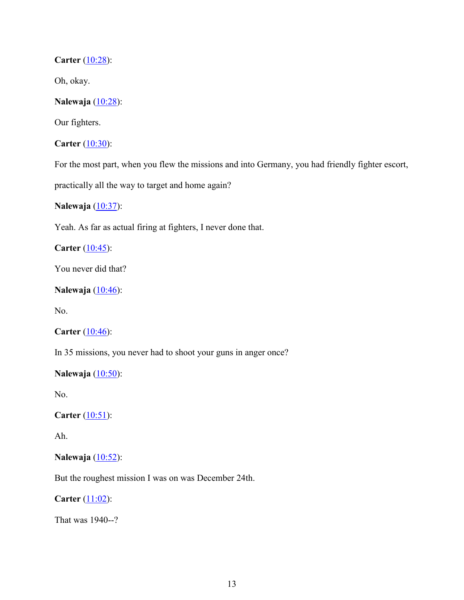# **Carter** (10:28):

Oh, okay.

# **Nalewaja** (10:28):

Our fighters.

**Carter** (10:30):

For the most part, when you flew the missions and into Germany, you had friendly fighter escort,

practically all the way to target and home again?

# **Nalewaja** (10:37):

Yeah. As far as actual firing at fighters, I never done that.

**Carter** (10:45):

You never did that?

# **Nalewaja** (10:46):

No.

### **Carter** (10:46):

In 35 missions, you never had to shoot your guns in anger once?

# **Nalewaja** (10:50):

No.

**Carter** (10:51):

Ah.

## **Nalewaja** (10:52):

But the roughest mission I was on was December 24th.

**Carter**  $(11:02)$ :

That was 1940--?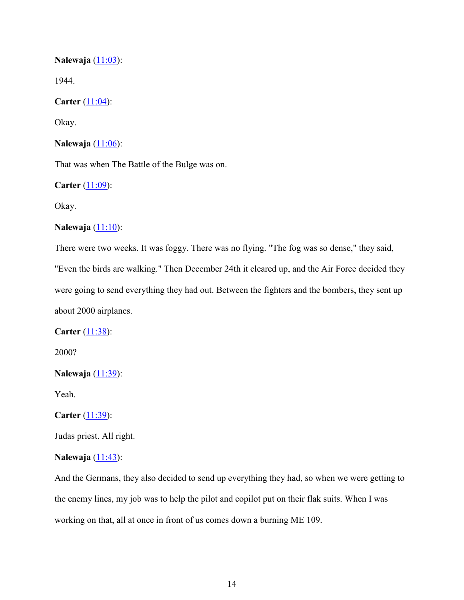**Nalewaja** (11:03):

1944.

**Carter** (11:04):

Okay.

**Nalewaja** (11:06):

That was when The Battle of the Bulge was on.

**Carter** (11:09):

Okay.

### **Nalewaja** (11:10):

There were two weeks. It was foggy. There was no flying. "The fog was so dense," they said, "Even the birds are walking." Then December 24th it cleared up, and the Air Force decided they were going to send everything they had out. Between the fighters and the bombers, they sent up about 2000 airplanes.

**Carter** (11:38):

2000?

```
Nalewaja (11:39):
```
Yeah.

```
Carter (11:39):
```
Judas priest. All right.

#### **Nalewaja** (11:43):

And the Germans, they also decided to send up everything they had, so when we were getting to the enemy lines, my job was to help the pilot and copilot put on their flak suits. When I was working on that, all at once in front of us comes down a burning ME 109.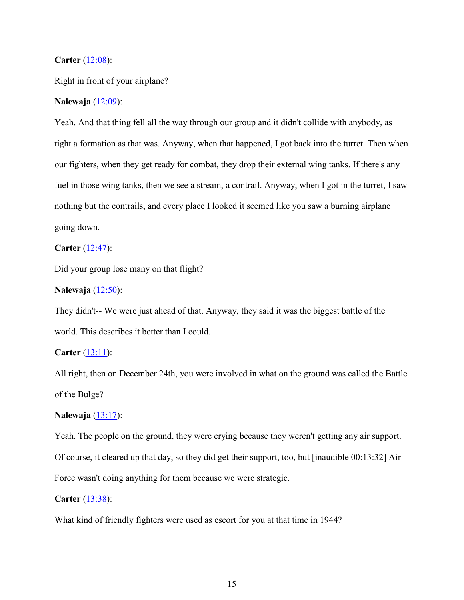#### **Carter** (12:08):

Right in front of your airplane?

### **Nalewaja** (12:09):

Yeah. And that thing fell all the way through our group and it didn't collide with anybody, as tight a formation as that was. Anyway, when that happened, I got back into the turret. Then when our fighters, when they get ready for combat, they drop their external wing tanks. If there's any fuel in those wing tanks, then we see a stream, a contrail. Anyway, when I got in the turret, I saw nothing but the contrails, and every place I looked it seemed like you saw a burning airplane going down.

## **Carter** (12:47):

Did your group lose many on that flight?

#### **Nalewaja** (12:50):

They didn't-- We were just ahead of that. Anyway, they said it was the biggest battle of the world. This describes it better than I could.

### **Carter** (13:11):

All right, then on December 24th, you were involved in what on the ground was called the Battle of the Bulge?

### **Nalewaja** (13:17):

Yeah. The people on the ground, they were crying because they weren't getting any air support. Of course, it cleared up that day, so they did get their support, too, but [inaudible 00:13:32] Air Force wasn't doing anything for them because we were strategic.

#### **Carter** (13:38):

What kind of friendly fighters were used as escort for you at that time in 1944?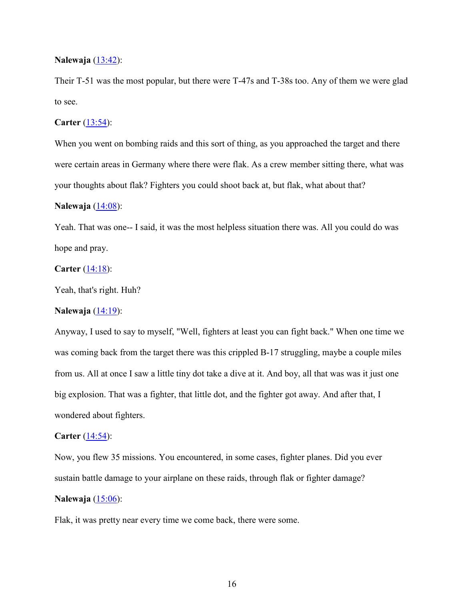#### **Nalewaja** (13:42):

Their T-51 was the most popular, but there were T-47s and T-38s too. Any of them we were glad to see.

#### **Carter** (13:54):

When you went on bombing raids and this sort of thing, as you approached the target and there were certain areas in Germany where there were flak. As a crew member sitting there, what was your thoughts about flak? Fighters you could shoot back at, but flak, what about that?

#### **Nalewaja** (14:08):

Yeah. That was one-- I said, it was the most helpless situation there was. All you could do was hope and pray.

### **Carter** (14:18):

Yeah, that's right. Huh?

### **Nalewaja** (14:19):

Anyway, I used to say to myself, "Well, fighters at least you can fight back." When one time we was coming back from the target there was this crippled B-17 struggling, maybe a couple miles from us. All at once I saw a little tiny dot take a dive at it. And boy, all that was was it just one big explosion. That was a fighter, that little dot, and the fighter got away. And after that, I wondered about fighters.

#### **Carter**  $(14:54)$ :

Now, you flew 35 missions. You encountered, in some cases, fighter planes. Did you ever sustain battle damage to your airplane on these raids, through flak or fighter damage? **Nalewaja** (15:06):

Flak, it was pretty near every time we come back, there were some.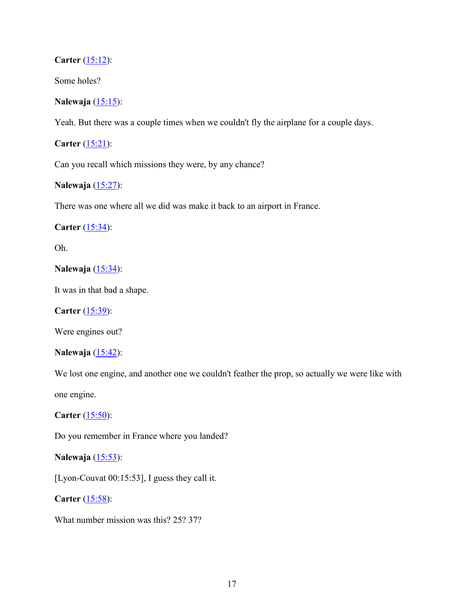## **Carter** (15:12):

Some holes?

## **Nalewaja** (15:15):

Yeah. But there was a couple times when we couldn't fly the airplane for a couple days.

**Carter** (15:21):

Can you recall which missions they were, by any chance?

# **Nalewaja** (15:27):

There was one where all we did was make it back to an airport in France.

**Carter** (15:34):

Oh.

## **Nalewaja** (15:34):

It was in that bad a shape.

**Carter** (15:39):

Were engines out?

#### **Nalewaja** (15:42):

We lost one engine, and another one we couldn't feather the prop, so actually we were like with one engine.

**Carter** (15:50):

Do you remember in France where you landed?

### **Nalewaja** (15:53):

[Lyon-Couvat 00:15:53], I guess they call it.

**Carter** (15:58):

What number mission was this? 25? 37?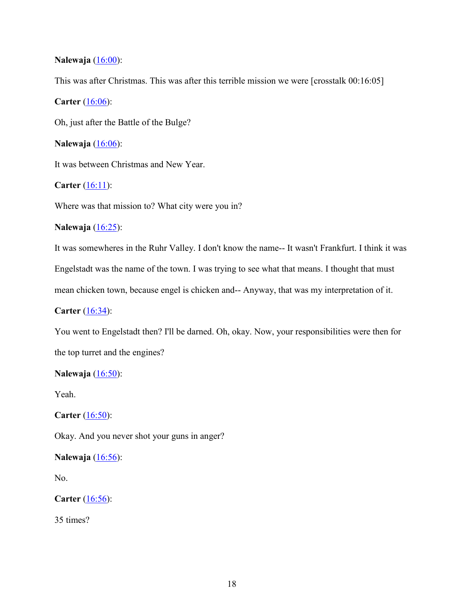### **Nalewaja** (16:00):

This was after Christmas. This was after this terrible mission we were [crosstalk 00:16:05]

### **Carter** (16:06):

Oh, just after the Battle of the Bulge?

### **Nalewaja** (16:06):

It was between Christmas and New Year.

### **Carter** (16:11):

Where was that mission to? What city were you in?

### **Nalewaja** (16:25):

It was somewheres in the Ruhr Valley. I don't know the name-- It wasn't Frankfurt. I think it was Engelstadt was the name of the town. I was trying to see what that means. I thought that must mean chicken town, because engel is chicken and-- Anyway, that was my interpretation of it.

**Carter** (16:34):

You went to Engelstadt then? I'll be darned. Oh, okay. Now, your responsibilities were then for the top turret and the engines?

#### **Nalewaja** (16:50):

Yeah.

**Carter** (16:50):

Okay. And you never shot your guns in anger?

## **Nalewaja** (16:56):

No.

**Carter** (16:56):

35 times?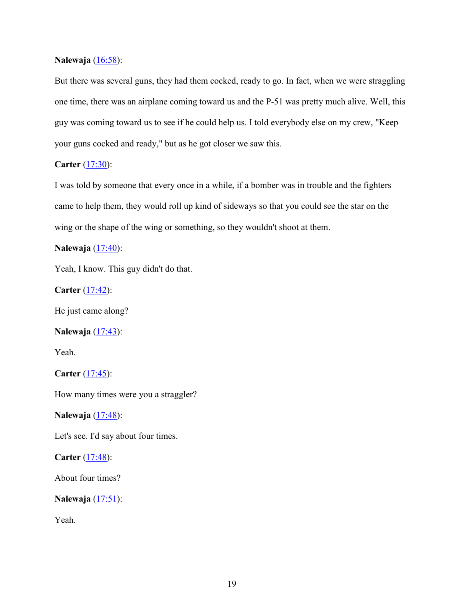#### **Nalewaja** (16:58):

But there was several guns, they had them cocked, ready to go. In fact, when we were straggling one time, there was an airplane coming toward us and the P-51 was pretty much alive. Well, this guy was coming toward us to see if he could help us. I told everybody else on my crew, "Keep your guns cocked and ready," but as he got closer we saw this.

#### **Carter** (17:30):

I was told by someone that every once in a while, if a bomber was in trouble and the fighters came to help them, they would roll up kind of sideways so that you could see the star on the wing or the shape of the wing or something, so they wouldn't shoot at them.

#### **Nalewaja** (17:40):

Yeah, I know. This guy didn't do that.

**Carter** (17:42):

He just came along?

### **Nalewaja** (17:43):

Yeah.

**Carter** (17:45):

How many times were you a straggler?

**Nalewaja** (17:48):

Let's see. I'd say about four times.

**Carter** (17:48):

About four times?

**Nalewaja** (17:51):

Yeah.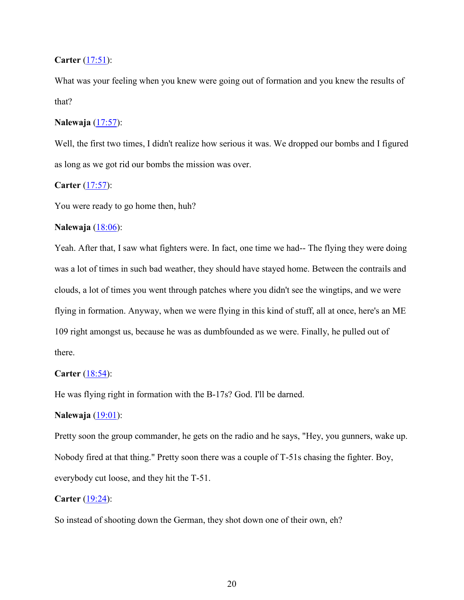### **Carter** (17:51):

What was your feeling when you knew were going out of formation and you knew the results of that?

### **Nalewaja** (17:57):

Well, the first two times, I didn't realize how serious it was. We dropped our bombs and I figured as long as we got rid our bombs the mission was over.

### **Carter** (17:57):

You were ready to go home then, huh?

### **Nalewaja** (18:06):

Yeah. After that, I saw what fighters were. In fact, one time we had-- The flying they were doing was a lot of times in such bad weather, they should have stayed home. Between the contrails and clouds, a lot of times you went through patches where you didn't see the wingtips, and we were flying in formation. Anyway, when we were flying in this kind of stuff, all at once, here's an ME 109 right amongst us, because he was as dumbfounded as we were. Finally, he pulled out of there.

### **Carter** (18:54):

He was flying right in formation with the B-17s? God. I'll be darned.

#### **Nalewaja** (19:01):

Pretty soon the group commander, he gets on the radio and he says, "Hey, you gunners, wake up. Nobody fired at that thing." Pretty soon there was a couple of T-51s chasing the fighter. Boy, everybody cut loose, and they hit the T-51.

#### **Carter** (19:24):

So instead of shooting down the German, they shot down one of their own, eh?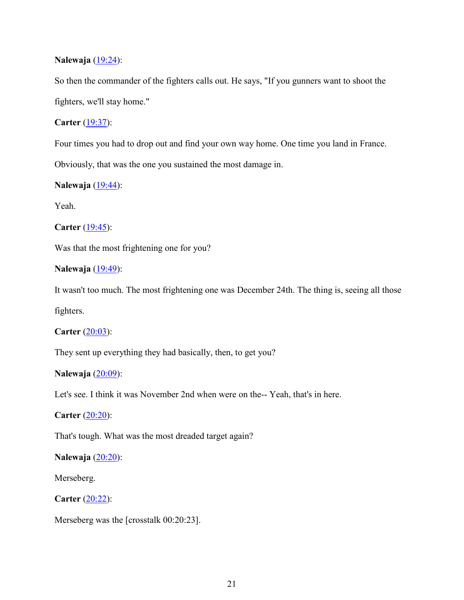## **Nalewaja** (19:24):

So then the commander of the fighters calls out. He says, "If you gunners want to shoot the fighters, we'll stay home."

## **Carter** (19:37):

Four times you had to drop out and find your own way home. One time you land in France.

Obviously, that was the one you sustained the most damage in.

### **Nalewaja** (19:44):

Yeah.

**Carter** (19:45):

Was that the most frightening one for you?

## **Nalewaja** (19:49):

It wasn't too much. The most frightening one was December 24th. The thing is, seeing all those

fighters.

**Carter** (20:03):

They sent up everything they had basically, then, to get you?

## **Nalewaja** (20:09):

Let's see. I think it was November 2nd when were on the-- Yeah, that's in here.

**Carter** (20:20):

That's tough. What was the most dreaded target again?

### **Nalewaja** (20:20):

Merseberg.

**Carter** (20:22):

Merseberg was the [crosstalk 00:20:23].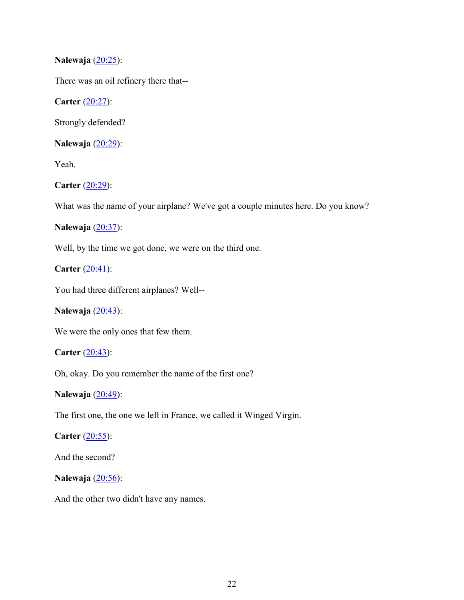# **Nalewaja** (20:25):

There was an oil refinery there that--

**Carter** (20:27):

Strongly defended?

**Nalewaja** (20:29):

Yeah.

**Carter** (20:29):

What was the name of your airplane? We've got a couple minutes here. Do you know?

**Nalewaja** (20:37):

Well, by the time we got done, we were on the third one.

**Carter** (20:41):

You had three different airplanes? Well--

# **Nalewaja** (20:43):

We were the only ones that few them.

**Carter** (20:43):

Oh, okay. Do you remember the name of the first one?

**Nalewaja** (20:49):

The first one, the one we left in France, we called it Winged Virgin.

**Carter** (20:55):

And the second?

**Nalewaja** (20:56):

And the other two didn't have any names.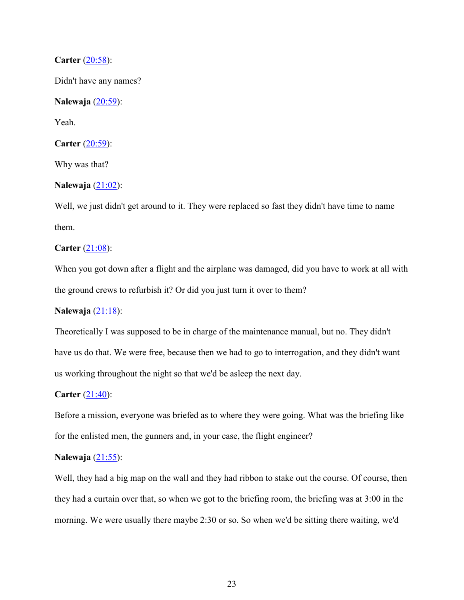#### **Carter** (20:58):

Didn't have any names?

### **Nalewaja** (20:59):

Yeah.

**Carter** (20:59):

Why was that?

### **Nalewaja** (21:02):

Well, we just didn't get around to it. They were replaced so fast they didn't have time to name them.

#### **Carter** (21:08):

When you got down after a flight and the airplane was damaged, did you have to work at all with the ground crews to refurbish it? Or did you just turn it over to them?

## **Nalewaja** (21:18):

Theoretically I was supposed to be in charge of the maintenance manual, but no. They didn't have us do that. We were free, because then we had to go to interrogation, and they didn't want us working throughout the night so that we'd be asleep the next day.

#### **Carter** (21:40):

Before a mission, everyone was briefed as to where they were going. What was the briefing like for the enlisted men, the gunners and, in your case, the flight engineer?

### **Nalewaja** (21:55):

Well, they had a big map on the wall and they had ribbon to stake out the course. Of course, then they had a curtain over that, so when we got to the briefing room, the briefing was at 3:00 in the morning. We were usually there maybe 2:30 or so. So when we'd be sitting there waiting, we'd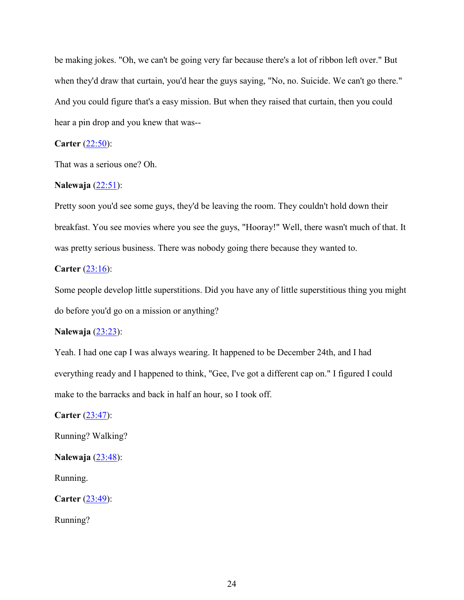be making jokes. "Oh, we can't be going very far because there's a lot of ribbon left over." But when they'd draw that curtain, you'd hear the guys saying, "No, no. Suicide. We can't go there." And you could figure that's a easy mission. But when they raised that curtain, then you could hear a pin drop and you knew that was--

## **Carter** (22:50):

That was a serious one? Oh.

#### **Nalewaja** (22:51):

Pretty soon you'd see some guys, they'd be leaving the room. They couldn't hold down their breakfast. You see movies where you see the guys, "Hooray!" Well, there wasn't much of that. It was pretty serious business. There was nobody going there because they wanted to.

# **Carter** (23:16):

Some people develop little superstitions. Did you have any of little superstitious thing you might do before you'd go on a mission or anything?

### **Nalewaja** (23:23):

Yeah. I had one cap I was always wearing. It happened to be December 24th, and I had everything ready and I happened to think, "Gee, I've got a different cap on." I figured I could make to the barracks and back in half an hour, so I took off.

**Carter** (23:47):

Running? Walking?

**Nalewaja** (23:48):

Running.

**Carter** (23:49):

Running?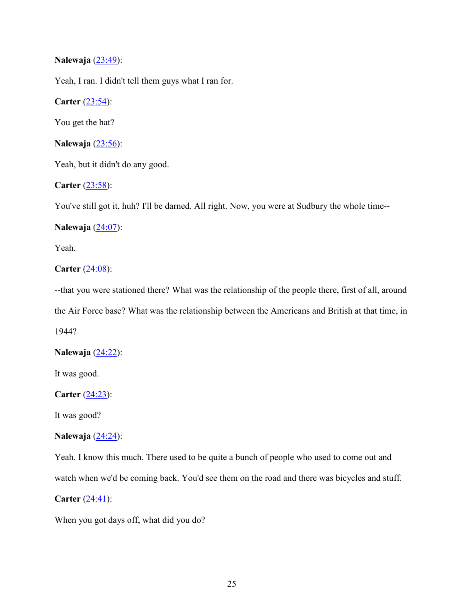# **Nalewaja** (23:49):

Yeah, I ran. I didn't tell them guys what I ran for.

**Carter** (23:54):

You get the hat?

**Nalewaja** (23:56):

Yeah, but it didn't do any good.

**Carter** (23:58):

You've still got it, huh? I'll be darned. All right. Now, you were at Sudbury the whole time--

**Nalewaja** (24:07):

Yeah.

**Carter** (24:08):

--that you were stationed there? What was the relationship of the people there, first of all, around the Air Force base? What was the relationship between the Americans and British at that time, in 1944?

**Nalewaja** (24:22):

It was good.

**Carter** (24:23):

It was good?

### **Nalewaja** (24:24):

Yeah. I know this much. There used to be quite a bunch of people who used to come out and watch when we'd be coming back. You'd see them on the road and there was bicycles and stuff.

**Carter** (24:41):

When you got days off, what did you do?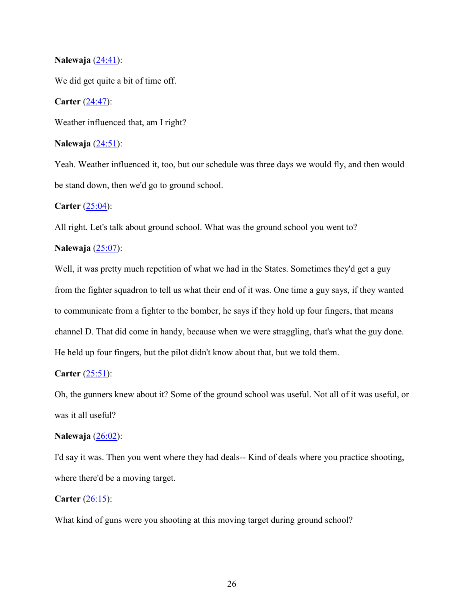#### **Nalewaja** (24:41):

We did get quite a bit of time off.

#### **Carter** (24:47):

Weather influenced that, am I right?

### **Nalewaja** (24:51):

Yeah. Weather influenced it, too, but our schedule was three days we would fly, and then would be stand down, then we'd go to ground school.

#### **Carter** (25:04):

All right. Let's talk about ground school. What was the ground school you went to?

### **Nalewaja** (25:07):

Well, it was pretty much repetition of what we had in the States. Sometimes they'd get a guy from the fighter squadron to tell us what their end of it was. One time a guy says, if they wanted to communicate from a fighter to the bomber, he says if they hold up four fingers, that means channel D. That did come in handy, because when we were straggling, that's what the guy done. He held up four fingers, but the pilot didn't know about that, but we told them.

## **Carter** (25:51):

Oh, the gunners knew about it? Some of the ground school was useful. Not all of it was useful, or was it all useful?

#### **Nalewaja** (26:02):

I'd say it was. Then you went where they had deals-- Kind of deals where you practice shooting, where there'd be a moving target.

#### **Carter** (26:15):

What kind of guns were you shooting at this moving target during ground school?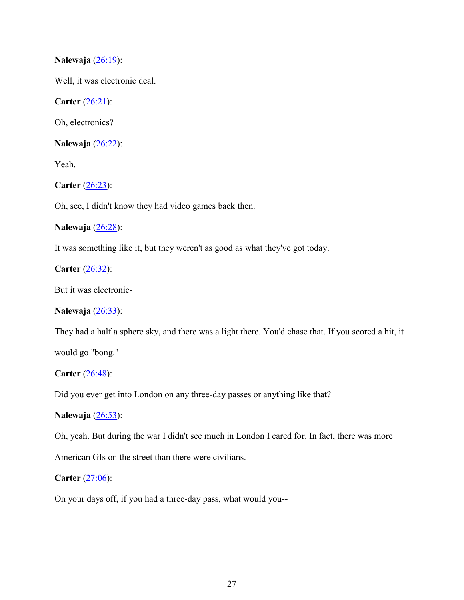## **Nalewaja** (26:19):

Well, it was electronic deal.

**Carter** (26:21):

Oh, electronics?

**Nalewaja** (26:22):

Yeah.

**Carter** (26:23):

Oh, see, I didn't know they had video games back then.

### **Nalewaja** (26:28):

It was something like it, but they weren't as good as what they've got today.

# **Carter** (26:32):

But it was electronic-

### **Nalewaja** (26:33):

They had a half a sphere sky, and there was a light there. You'd chase that. If you scored a hit, it would go "bong."

#### **Carter** (26:48):

Did you ever get into London on any three-day passes or anything like that?

### **Nalewaja** (26:53):

Oh, yeah. But during the war I didn't see much in London I cared for. In fact, there was more

American GIs on the street than there were civilians.

### **Carter** (27:06):

On your days off, if you had a three-day pass, what would you--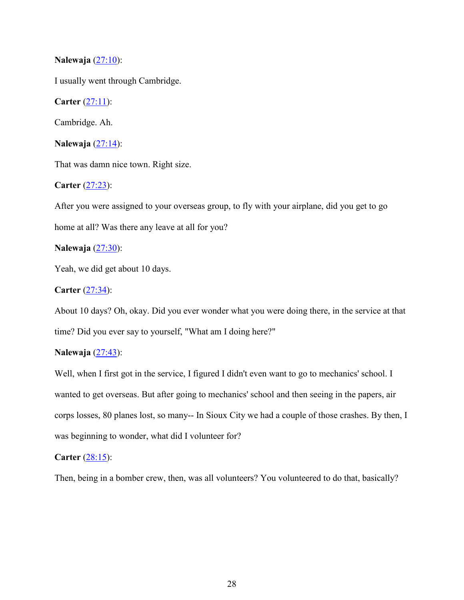### **Nalewaja** (27:10):

I usually went through Cambridge.

**Carter** (27:11):

Cambridge. Ah.

**Nalewaja** (27:14):

That was damn nice town. Right size.

**Carter** (27:23):

After you were assigned to your overseas group, to fly with your airplane, did you get to go home at all? Was there any leave at all for you?

**Nalewaja** (27:30):

Yeah, we did get about 10 days.

### **Carter** (27:34):

About 10 days? Oh, okay. Did you ever wonder what you were doing there, in the service at that time? Did you ever say to yourself, "What am I doing here?"

# **Nalewaja** (27:43):

Well, when I first got in the service, I figured I didn't even want to go to mechanics' school. I wanted to get overseas. But after going to mechanics' school and then seeing in the papers, air corps losses, 80 planes lost, so many-- In Sioux City we had a couple of those crashes. By then, I was beginning to wonder, what did I volunteer for?

### **Carter** (28:15):

Then, being in a bomber crew, then, was all volunteers? You volunteered to do that, basically?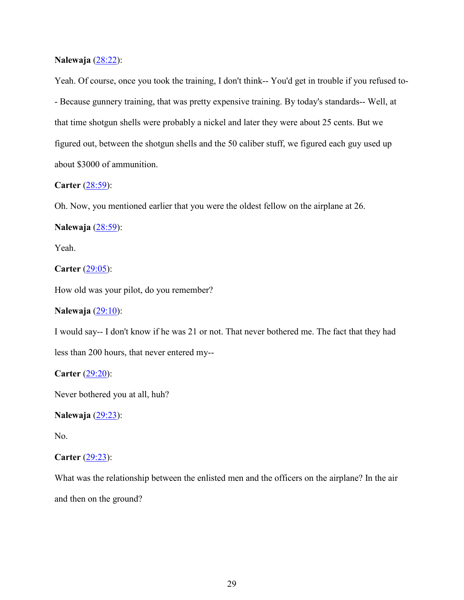#### **Nalewaja** (28:22):

Yeah. Of course, once you took the training, I don't think-- You'd get in trouble if you refused to- - Because gunnery training, that was pretty expensive training. By today's standards-- Well, at that time shotgun shells were probably a nickel and later they were about 25 cents. But we figured out, between the shotgun shells and the 50 caliber stuff, we figured each guy used up about \$3000 of ammunition.

### **Carter** (28:59):

Oh. Now, you mentioned earlier that you were the oldest fellow on the airplane at 26.

**Nalewaja** (28:59):

Yeah.

**Carter** (29:05):

How old was your pilot, do you remember?

### **Nalewaja** (29:10):

I would say-- I don't know if he was 21 or not. That never bothered me. The fact that they had less than 200 hours, that never entered my--

**Carter** (29:20):

Never bothered you at all, huh?

**Nalewaja** (29:23):

No.

### **Carter** (29:23):

What was the relationship between the enlisted men and the officers on the airplane? In the air and then on the ground?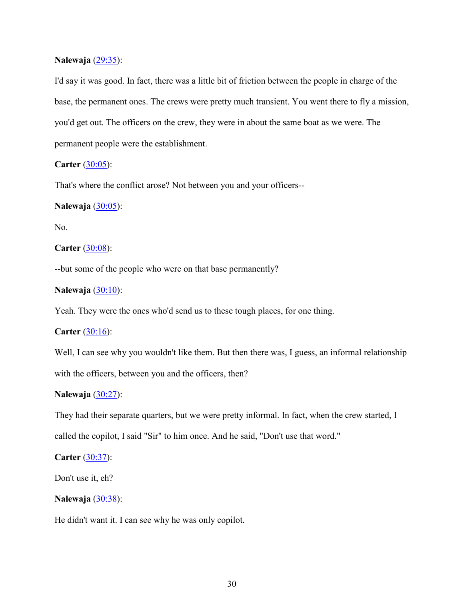#### **Nalewaja** (29:35):

I'd say it was good. In fact, there was a little bit of friction between the people in charge of the base, the permanent ones. The crews were pretty much transient. You went there to fly a mission, you'd get out. The officers on the crew, they were in about the same boat as we were. The permanent people were the establishment.

### **Carter** (30:05):

That's where the conflict arose? Not between you and your officers--

#### **Nalewaja** (30:05):

No.

**Carter** (30:08):

--but some of the people who were on that base permanently?

#### **Nalewaja** (30:10):

Yeah. They were the ones who'd send us to these tough places, for one thing.

**Carter** (30:16):

Well, I can see why you wouldn't like them. But then there was, I guess, an informal relationship with the officers, between you and the officers, then?

#### **Nalewaja** (30:27):

They had their separate quarters, but we were pretty informal. In fact, when the crew started, I

called the copilot, I said "Sir" to him once. And he said, "Don't use that word."

### **Carter** (30:37):

Don't use it, eh?

#### **Nalewaja** (30:38):

He didn't want it. I can see why he was only copilot.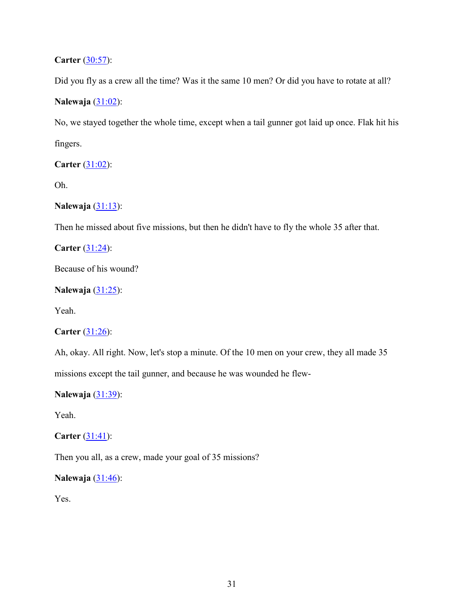**Carter** (30:57):

Did you fly as a crew all the time? Was it the same 10 men? Or did you have to rotate at all?

# **Nalewaja** (31:02):

No, we stayed together the whole time, except when a tail gunner got laid up once. Flak hit his fingers.

**Carter** (31:02):

Oh.

**Nalewaja** (31:13):

Then he missed about five missions, but then he didn't have to fly the whole 35 after that.

**Carter** (31:24):

Because of his wound?

### **Nalewaja** (31:25):

Yeah.

# **Carter** (31:26):

Ah, okay. All right. Now, let's stop a minute. Of the 10 men on your crew, they all made 35

missions except the tail gunner, and because he was wounded he flew-

**Nalewaja** (31:39):

Yeah.

# **Carter** (31:41):

Then you all, as a crew, made your goal of 35 missions?

**Nalewaja** (31:46):

Yes.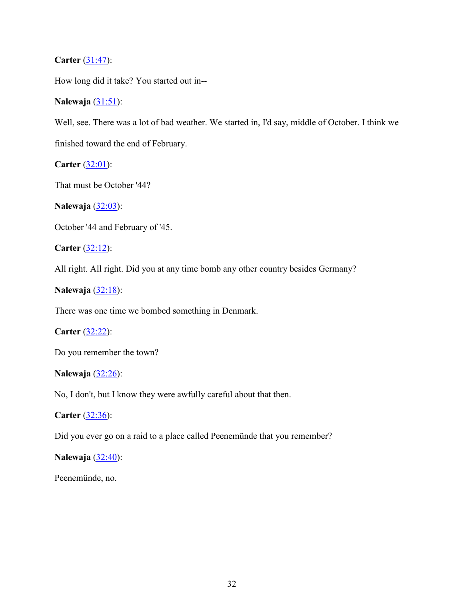## **Carter** (31:47):

How long did it take? You started out in--

### **Nalewaja** (31:51):

Well, see. There was a lot of bad weather. We started in, I'd say, middle of October. I think we

finished toward the end of February.

**Carter** (32:01):

That must be October '44?

**Nalewaja** (32:03):

October '44 and February of '45.

**Carter** (32:12):

All right. All right. Did you at any time bomb any other country besides Germany?

**Nalewaja** (32:18):

There was one time we bombed something in Denmark.

**Carter** (32:22):

Do you remember the town?

**Nalewaja** (32:26):

No, I don't, but I know they were awfully careful about that then.

**Carter** (32:36):

Did you ever go on a raid to a place called Peenemünde that you remember?

**Nalewaja** (32:40):

Peenemünde, no.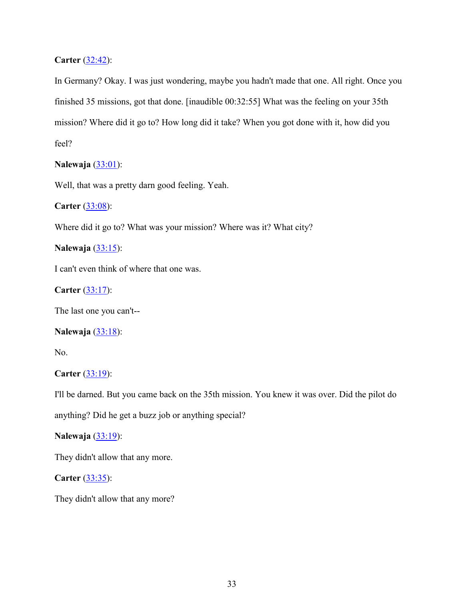# **Carter** (32:42):

In Germany? Okay. I was just wondering, maybe you hadn't made that one. All right. Once you finished 35 missions, got that done. [inaudible 00:32:55] What was the feeling on your 35th mission? Where did it go to? How long did it take? When you got done with it, how did you feel?

**Nalewaja** (33:01):

Well, that was a pretty darn good feeling. Yeah.

**Carter** (33:08):

Where did it go to? What was your mission? Where was it? What city?

**Nalewaja** (33:15):

I can't even think of where that one was.

**Carter** (33:17):

The last one you can't--

### **Nalewaja** (33:18):

No.

### **Carter** (33:19):

I'll be darned. But you came back on the 35th mission. You knew it was over. Did the pilot do

anything? Did he get a buzz job or anything special?

**Nalewaja** (33:19):

They didn't allow that any more.

**Carter** (33:35):

They didn't allow that any more?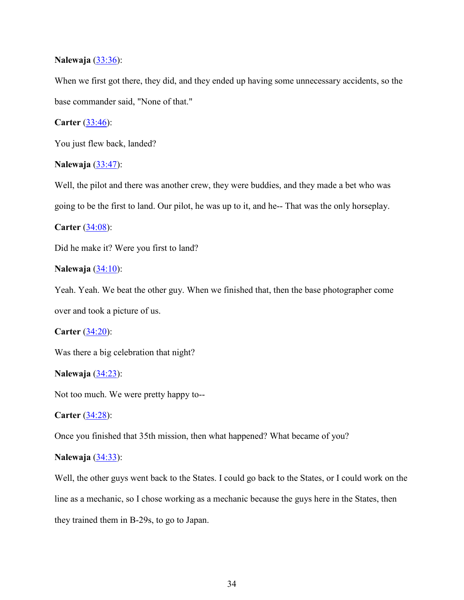### **Nalewaja** (33:36):

When we first got there, they did, and they ended up having some unnecessary accidents, so the base commander said, "None of that."

### **Carter** (33:46):

You just flew back, landed?

#### **Nalewaja** (33:47):

Well, the pilot and there was another crew, they were buddies, and they made a bet who was going to be the first to land. Our pilot, he was up to it, and he-- That was the only horseplay.

#### **Carter** (34:08):

Did he make it? Were you first to land?

#### **Nalewaja** (34:10):

Yeah. Yeah. We beat the other guy. When we finished that, then the base photographer come over and took a picture of us.

#### **Carter** (34:20):

Was there a big celebration that night?

#### **Nalewaja** (34:23):

Not too much. We were pretty happy to--

#### **Carter** (34:28):

Once you finished that 35th mission, then what happened? What became of you?

#### **Nalewaja** (34:33):

Well, the other guys went back to the States. I could go back to the States, or I could work on the line as a mechanic, so I chose working as a mechanic because the guys here in the States, then they trained them in B-29s, to go to Japan.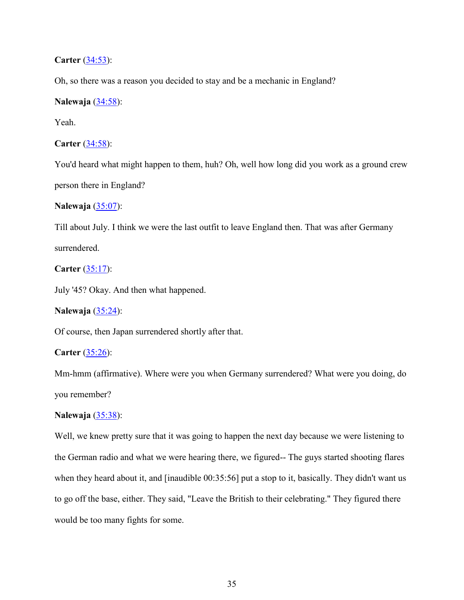### **Carter** (34:53):

Oh, so there was a reason you decided to stay and be a mechanic in England?

### **Nalewaja** (34:58):

Yeah.

### **Carter** (34:58):

You'd heard what might happen to them, huh? Oh, well how long did you work as a ground crew person there in England?

### **Nalewaja** (35:07):

Till about July. I think we were the last outfit to leave England then. That was after Germany surrendered.

### **Carter** (35:17):

July '45? Okay. And then what happened.

## **Nalewaja** (35:24):

Of course, then Japan surrendered shortly after that.

### **Carter** (35:26):

Mm-hmm (affirmative). Where were you when Germany surrendered? What were you doing, do you remember?

#### **Nalewaja** (35:38):

Well, we knew pretty sure that it was going to happen the next day because we were listening to the German radio and what we were hearing there, we figured-- The guys started shooting flares when they heard about it, and [inaudible  $00:35:56$ ] put a stop to it, basically. They didn't want us to go off the base, either. They said, "Leave the British to their celebrating." They figured there would be too many fights for some.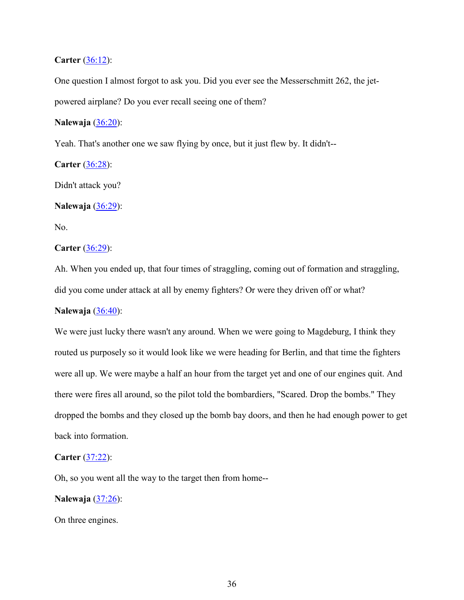#### **Carter** (36:12):

One question I almost forgot to ask you. Did you ever see the Messerschmitt 262, the jetpowered airplane? Do you ever recall seeing one of them?

#### **Nalewaja** (36:20):

Yeah. That's another one we saw flying by once, but it just flew by. It didn't--

### **Carter** (36:28):

Didn't attack you?

### **Nalewaja** (36:29):

No.

#### **Carter** (36:29):

Ah. When you ended up, that four times of straggling, coming out of formation and straggling, did you come under attack at all by enemy fighters? Or were they driven off or what?

### **Nalewaja** (36:40):

We were just lucky there wasn't any around. When we were going to Magdeburg, I think they routed us purposely so it would look like we were heading for Berlin, and that time the fighters were all up. We were maybe a half an hour from the target yet and one of our engines quit. And there were fires all around, so the pilot told the bombardiers, "Scared. Drop the bombs." They dropped the bombs and they closed up the bomb bay doors, and then he had enough power to get back into formation.

#### **Carter** (37:22):

Oh, so you went all the way to the target then from home--

#### **Nalewaja** (37:26):

On three engines.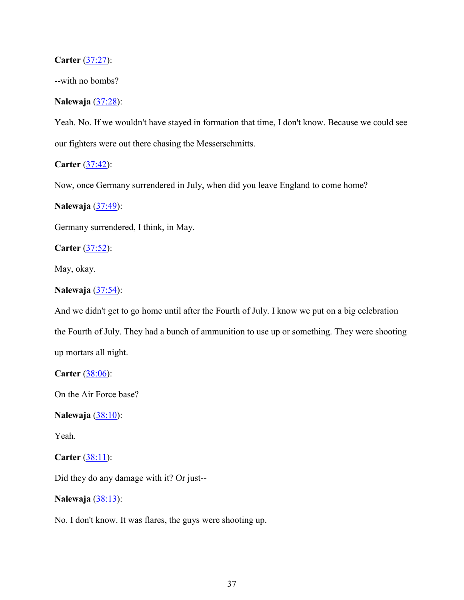### **Carter** (37:27):

--with no bombs?

### **Nalewaja** (37:28):

Yeah. No. If we wouldn't have stayed in formation that time, I don't know. Because we could see our fighters were out there chasing the Messerschmitts.

### **Carter** (37:42):

Now, once Germany surrendered in July, when did you leave England to come home?

#### **Nalewaja** (37:49):

Germany surrendered, I think, in May.

**Carter** (37:52):

May, okay.

### **Nalewaja** (37:54):

And we didn't get to go home until after the Fourth of July. I know we put on a big celebration the Fourth of July. They had a bunch of ammunition to use up or something. They were shooting up mortars all night.

**Carter** (38:06):

On the Air Force base?

**Nalewaja** (38:10):

Yeah.

**Carter** (38:11):

Did they do any damage with it? Or just--

**Nalewaja** (38:13):

No. I don't know. It was flares, the guys were shooting up.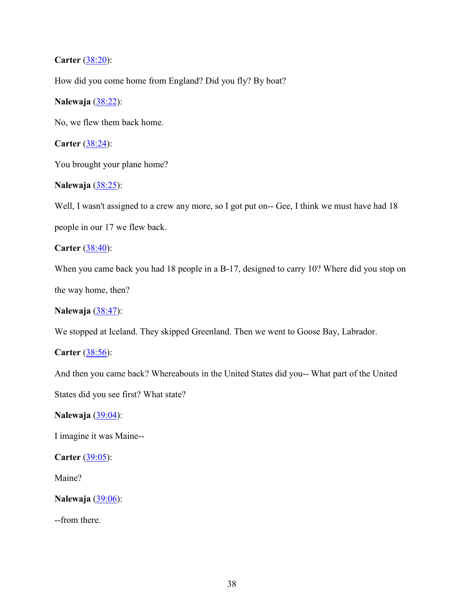## **Carter** (38:20):

How did you come home from England? Did you fly? By boat?

### **Nalewaja** (38:22):

No, we flew them back home.

**Carter** (38:24):

You brought your plane home?

### **Nalewaja** (38:25):

Well, I wasn't assigned to a crew any more, so I got put on-- Gee, I think we must have had 18 people in our 17 we flew back.

**Carter** (38:40):

When you came back you had 18 people in a B-17, designed to carry 10? Where did you stop on the way home, then?

### **Nalewaja** (38:47):

We stopped at Iceland. They skipped Greenland. Then we went to Goose Bay, Labrador.

**Carter** (38:56):

And then you came back? Whereabouts in the United States did you-- What part of the United States did you see first? What state?

**Nalewaja** (39:04):

I imagine it was Maine--

**Carter** (39:05):

Maine?

**Nalewaja** (39:06):

--from there.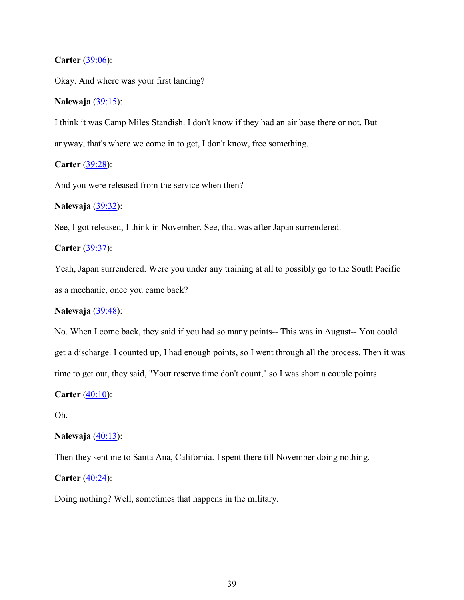#### **Carter** (39:06):

Okay. And where was your first landing?

### **Nalewaja** (39:15):

I think it was Camp Miles Standish. I don't know if they had an air base there or not. But anyway, that's where we come in to get, I don't know, free something.

**Carter** (39:28):

And you were released from the service when then?

#### **Nalewaja** (39:32):

See, I got released, I think in November. See, that was after Japan surrendered.

### **Carter** (39:37):

Yeah, Japan surrendered. Were you under any training at all to possibly go to the South Pacific as a mechanic, once you came back?

## **Nalewaja** (39:48):

No. When I come back, they said if you had so many points-- This was in August-- You could get a discharge. I counted up, I had enough points, so I went through all the process. Then it was time to get out, they said, "Your reserve time don't count," so I was short a couple points.

**Carter** (40:10):

Oh.

### **Nalewaja** (40:13):

Then they sent me to Santa Ana, California. I spent there till November doing nothing.

**Carter** (40:24):

Doing nothing? Well, sometimes that happens in the military.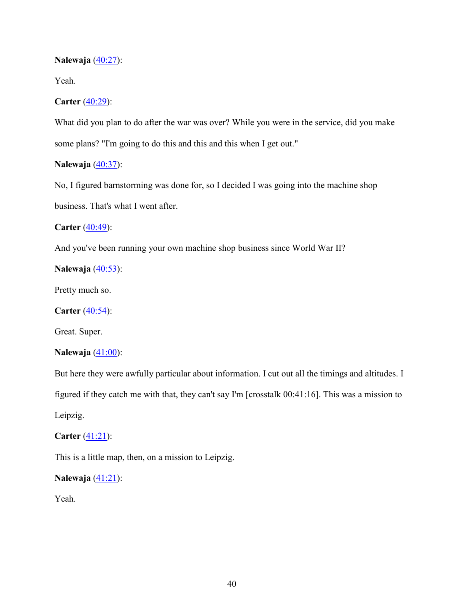#### **Nalewaja** (40:27):

Yeah.

#### **Carter** (40:29):

What did you plan to do after the war was over? While you were in the service, did you make some plans? "I'm going to do this and this and this when I get out."

# **Nalewaja** (40:37):

No, I figured barnstorming was done for, so I decided I was going into the machine shop business. That's what I went after.

#### **Carter** (40:49):

And you've been running your own machine shop business since World War II?

### **Nalewaja** (40:53):

Pretty much so.

**Carter** (40:54):

Great. Super.

### **Nalewaja** (41:00):

But here they were awfully particular about information. I cut out all the timings and altitudes. I figured if they catch me with that, they can't say I'm [crosstalk 00:41:16]. This was a mission to Leipzig.

### **Carter** (41:21):

This is a little map, then, on a mission to Leipzig.

#### **Nalewaja** (41:21):

Yeah.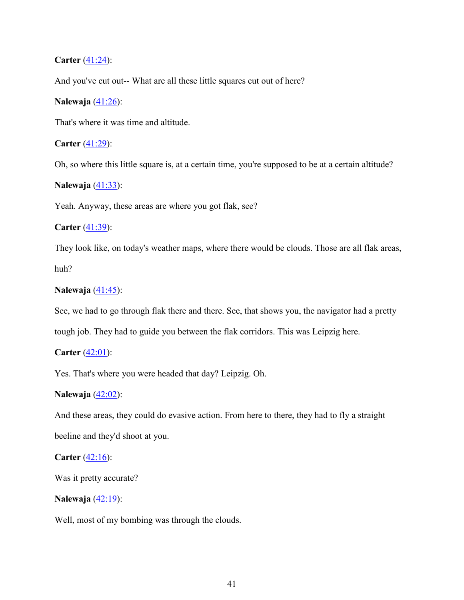### **Carter** (41:24):

And you've cut out-- What are all these little squares cut out of here?

### **Nalewaja** (41:26):

That's where it was time and altitude.

### **Carter** (41:29):

Oh, so where this little square is, at a certain time, you're supposed to be at a certain altitude?

### **Nalewaja** (41:33):

Yeah. Anyway, these areas are where you got flak, see?

### **Carter** (41:39):

They look like, on today's weather maps, where there would be clouds. Those are all flak areas, huh?

#### **Nalewaja** (41:45):

See, we had to go through flak there and there. See, that shows you, the navigator had a pretty

tough job. They had to guide you between the flak corridors. This was Leipzig here.

### **Carter** (42:01):

Yes. That's where you were headed that day? Leipzig. Oh.

#### **Nalewaja** (42:02):

And these areas, they could do evasive action. From here to there, they had to fly a straight beeline and they'd shoot at you.

### **Carter** (42:16):

Was it pretty accurate?

#### **Nalewaja** (42:19):

Well, most of my bombing was through the clouds.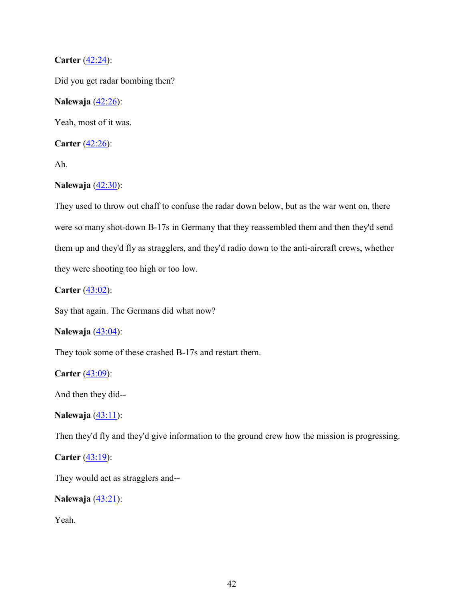# **Carter** (42:24):

Did you get radar bombing then?

### **Nalewaja** (42:26):

Yeah, most of it was.

**Carter** (42:26):

Ah.

## **Nalewaja** (42:30):

They used to throw out chaff to confuse the radar down below, but as the war went on, there were so many shot-down B-17s in Germany that they reassembled them and then they'd send them up and they'd fly as stragglers, and they'd radio down to the anti-aircraft crews, whether they were shooting too high or too low.

**Carter** (43:02):

Say that again. The Germans did what now?

### **Nalewaja** (43:04):

They took some of these crashed B-17s and restart them.

**Carter** (43:09):

And then they did--

**Nalewaja** (43:11):

Then they'd fly and they'd give information to the ground crew how the mission is progressing.

**Carter** (43:19):

They would act as stragglers and--

**Nalewaja** (43:21):

Yeah.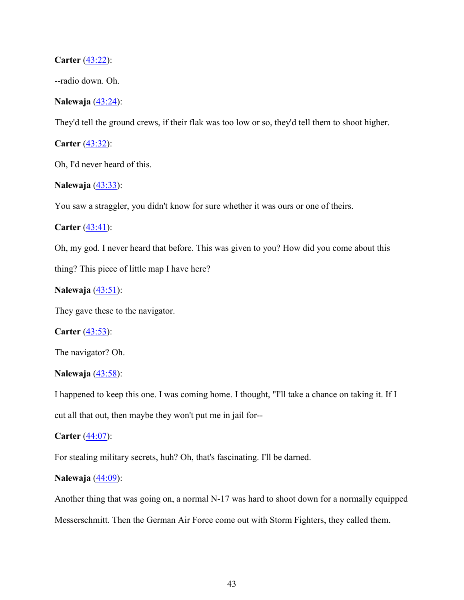#### **Carter** (43:22):

--radio down. Oh.

#### **Nalewaja** (43:24):

They'd tell the ground crews, if their flak was too low or so, they'd tell them to shoot higher.

**Carter** (43:32):

Oh, I'd never heard of this.

### **Nalewaja** (43:33):

You saw a straggler, you didn't know for sure whether it was ours or one of theirs.

**Carter** (43:41):

Oh, my god. I never heard that before. This was given to you? How did you come about this

thing? This piece of little map I have here?

#### **Nalewaja** (43:51):

They gave these to the navigator.

**Carter** (43:53):

The navigator? Oh.

#### **Nalewaja** (43:58):

I happened to keep this one. I was coming home. I thought, "I'll take a chance on taking it. If I cut all that out, then maybe they won't put me in jail for--

#### **Carter** (44:07):

For stealing military secrets, huh? Oh, that's fascinating. I'll be darned.

### **Nalewaja** (44:09):

Another thing that was going on, a normal N-17 was hard to shoot down for a normally equipped Messerschmitt. Then the German Air Force come out with Storm Fighters, they called them.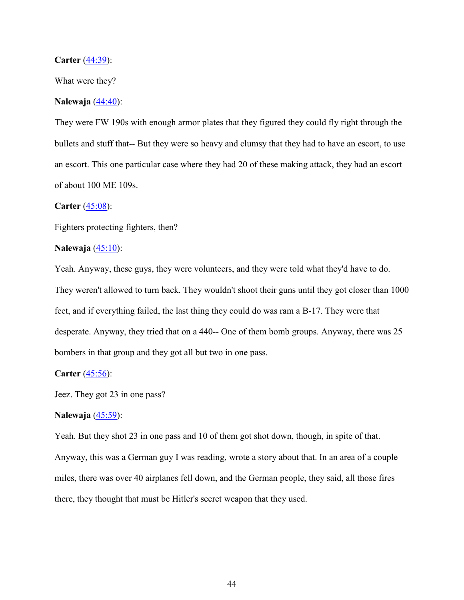#### **Carter** (44:39):

What were they?

### **Nalewaja** (44:40):

They were FW 190s with enough armor plates that they figured they could fly right through the bullets and stuff that-- But they were so heavy and clumsy that they had to have an escort, to use an escort. This one particular case where they had 20 of these making attack, they had an escort of about 100 ME 109s.

#### **Carter** (45:08):

Fighters protecting fighters, then?

#### **Nalewaja** (45:10):

Yeah. Anyway, these guys, they were volunteers, and they were told what they'd have to do. They weren't allowed to turn back. They wouldn't shoot their guns until they got closer than 1000 feet, and if everything failed, the last thing they could do was ram a B-17. They were that desperate. Anyway, they tried that on a 440-- One of them bomb groups. Anyway, there was 25 bombers in that group and they got all but two in one pass.

#### **Carter** (45:56):

Jeez. They got 23 in one pass?

#### **Nalewaja** (45:59):

Yeah. But they shot 23 in one pass and 10 of them got shot down, though, in spite of that. Anyway, this was a German guy I was reading, wrote a story about that. In an area of a couple miles, there was over 40 airplanes fell down, and the German people, they said, all those fires there, they thought that must be Hitler's secret weapon that they used.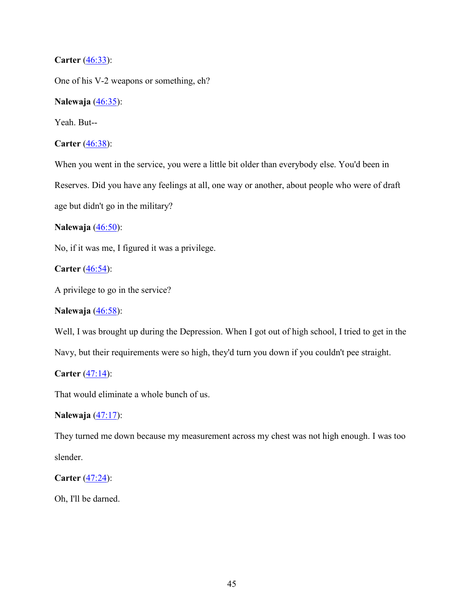## **Carter** (46:33):

One of his V-2 weapons or something, eh?

**Nalewaja** (46:35):

Yeah. But--

**Carter** (46:38):

When you went in the service, you were a little bit older than everybody else. You'd been in Reserves. Did you have any feelings at all, one way or another, about people who were of draft age but didn't go in the military?

**Nalewaja** (46:50):

No, if it was me, I figured it was a privilege.

**Carter** (46:54):

A privilege to go in the service?

### **Nalewaja** (46:58):

Well, I was brought up during the Depression. When I got out of high school, I tried to get in the

Navy, but their requirements were so high, they'd turn you down if you couldn't pee straight.

**Carter** (47:14):

That would eliminate a whole bunch of us.

**Nalewaja** (47:17):

They turned me down because my measurement across my chest was not high enough. I was too slender.

**Carter** (47:24):

Oh, I'll be darned.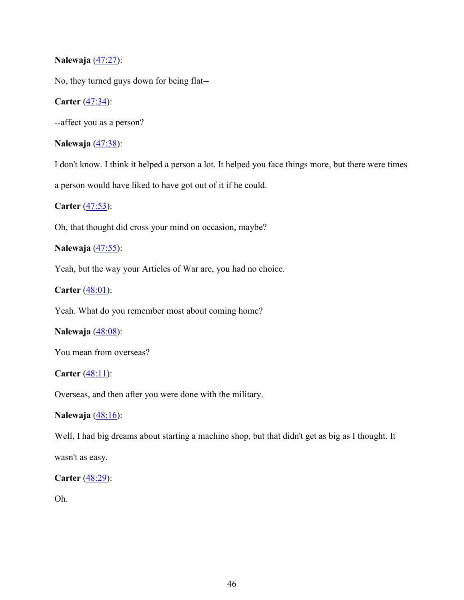### **Nalewaja** (47:27):

No, they turned guys down for being flat--

## **Carter** (47:34):

--affect you as a person?

# **Nalewaja** (47:38):

I don't know. I think it helped a person a lot. It helped you face things more, but there were times a person would have liked to have got out of it if he could.

### **Carter** (47:53):

Oh, that thought did cross your mind on occasion, maybe?

# **Nalewaja** (47:55):

Yeah, but the way your Articles of War are, you had no choice.

**Carter** (48:01):

Yeah. What do you remember most about coming home?

### **Nalewaja** (48:08):

You mean from overseas?

# **Carter** (48:11):

Overseas, and then after you were done with the military.

### **Nalewaja** (48:16):

Well, I had big dreams about starting a machine shop, but that didn't get as big as I thought. It

wasn't as easy.

### **Carter** (48:29):

Oh.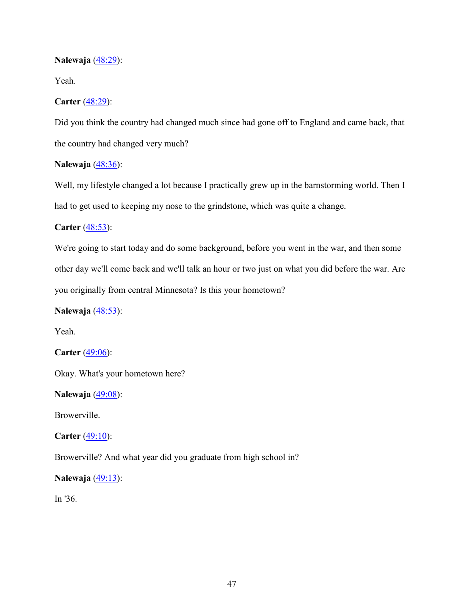### **Nalewaja** (48:29):

Yeah.

### **Carter** (48:29):

Did you think the country had changed much since had gone off to England and came back, that the country had changed very much?

# **Nalewaja** (48:36):

Well, my lifestyle changed a lot because I practically grew up in the barnstorming world. Then I had to get used to keeping my nose to the grindstone, which was quite a change.

### **Carter** (48:53):

We're going to start today and do some background, before you went in the war, and then some other day we'll come back and we'll talk an hour or two just on what you did before the war. Are you originally from central Minnesota? Is this your hometown?

### **Nalewaja** (48:53):

Yeah.

**Carter** (49:06):

Okay. What's your hometown here?

**Nalewaja** (49:08):

Browerville.

### **Carter** (49:10):

Browerville? And what year did you graduate from high school in?

**Nalewaja** (49:13):

In '36.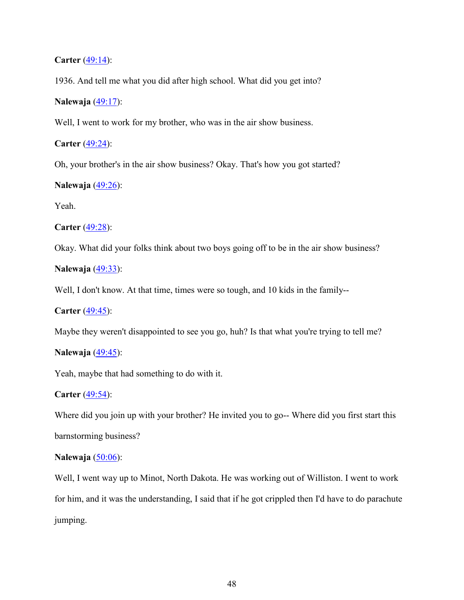### **Carter** (49:14):

1936. And tell me what you did after high school. What did you get into?

### **Nalewaja** (49:17):

Well, I went to work for my brother, who was in the air show business.

**Carter** (49:24):

Oh, your brother's in the air show business? Okay. That's how you got started?

### **Nalewaja** (49:26):

Yeah.

**Carter** (49:28):

Okay. What did your folks think about two boys going off to be in the air show business?

**Nalewaja** (49:33):

Well, I don't know. At that time, times were so tough, and 10 kids in the family--

**Carter** (49:45):

Maybe they weren't disappointed to see you go, huh? Is that what you're trying to tell me?

### **Nalewaja** (49:45):

Yeah, maybe that had something to do with it.

#### **Carter** (49:54):

Where did you join up with your brother? He invited you to go-- Where did you first start this barnstorming business?

## **Nalewaja** (50:06):

Well, I went way up to Minot, North Dakota. He was working out of Williston. I went to work for him, and it was the understanding, I said that if he got crippled then I'd have to do parachute jumping.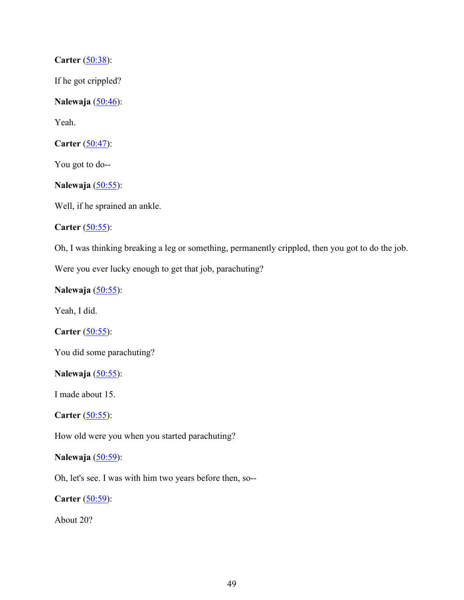**Carter** (50:38):

If he got crippled?

**Nalewaja** (50:46):

Yeah.

**Carter** (50:47):

You got to do--

**Nalewaja** (50:55):

Well, if he sprained an ankle.

**Carter** (50:55):

Oh, I was thinking breaking a leg or something, permanently crippled, then you got to do the job.

Were you ever lucky enough to get that job, parachuting?

**Nalewaja** (50:55):

Yeah, I did.

**Carter** (50:55):

You did some parachuting?

**Nalewaja** (50:55):

I made about 15.

**Carter** (50:55):

How old were you when you started parachuting?

# **Nalewaja** (50:59):

Oh, let's see. I was with him two years before then, so--

**Carter** (50:59):

About 20?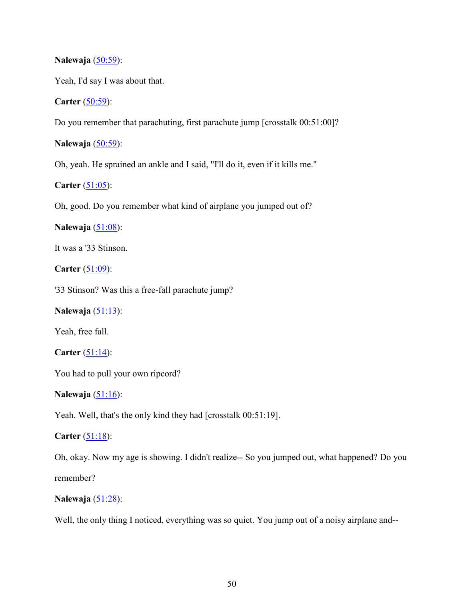### **Nalewaja** (50:59):

Yeah, I'd say I was about that.

**Carter** (50:59):

Do you remember that parachuting, first parachute jump [crosstalk 00:51:00]?

**Nalewaja** (50:59):

Oh, yeah. He sprained an ankle and I said, "I'll do it, even if it kills me."

**Carter** (51:05):

Oh, good. Do you remember what kind of airplane you jumped out of?

**Nalewaja** (51:08):

It was a '33 Stinson.

**Carter** (51:09):

'33 Stinson? Was this a free-fall parachute jump?

**Nalewaja** (51:13):

Yeah, free fall.

**Carter**  $(51:14)$ :

You had to pull your own ripcord?

**Nalewaja** (51:16):

Yeah. Well, that's the only kind they had [crosstalk 00:51:19].

**Carter** (51:18):

Oh, okay. Now my age is showing. I didn't realize-- So you jumped out, what happened? Do you remember?

**Nalewaja** (51:28):

Well, the only thing I noticed, everything was so quiet. You jump out of a noisy airplane and--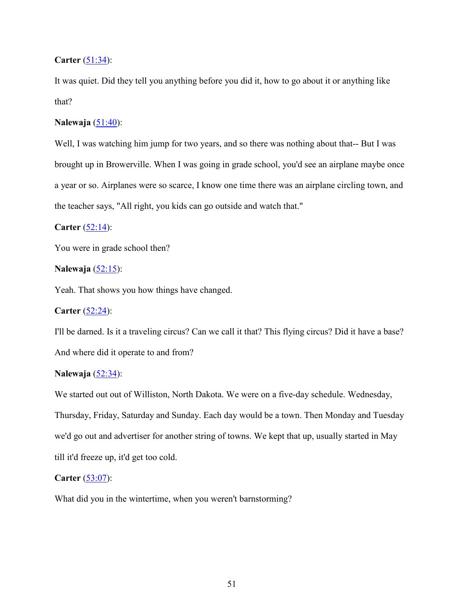### **Carter** (51:34):

It was quiet. Did they tell you anything before you did it, how to go about it or anything like that?

### **Nalewaja** (51:40):

Well, I was watching him jump for two years, and so there was nothing about that-- But I was brought up in Browerville. When I was going in grade school, you'd see an airplane maybe once a year or so. Airplanes were so scarce, I know one time there was an airplane circling town, and the teacher says, "All right, you kids can go outside and watch that."

### **Carter** (52:14):

You were in grade school then?

### **Nalewaja** (52:15):

Yeah. That shows you how things have changed.

# **Carter** (52:24):

I'll be darned. Is it a traveling circus? Can we call it that? This flying circus? Did it have a base? And where did it operate to and from?

# **Nalewaja** (52:34):

We started out out of Williston, North Dakota. We were on a five-day schedule. Wednesday, Thursday, Friday, Saturday and Sunday. Each day would be a town. Then Monday and Tuesday we'd go out and advertiser for another string of towns. We kept that up, usually started in May till it'd freeze up, it'd get too cold.

### **Carter** (53:07):

What did you in the wintertime, when you weren't barnstorming?